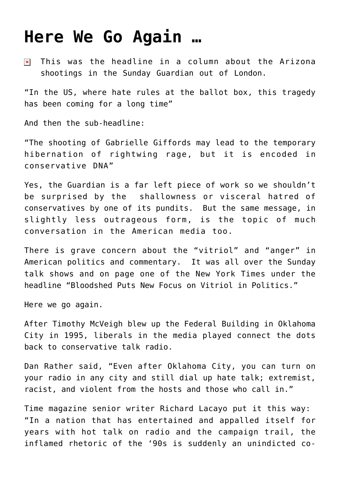## **[Here We Go Again …](https://bernardgoldberg.com/here-we-go-again/)**

This was the headline in a column about the Arizona  $\pmb{\times}$ shootings in the Sunday Guardian out of London.

"In the US, where hate rules at the ballot box, this tragedy has been coming for a long time"

And then the sub-headline:

"The shooting of Gabrielle Giffords may lead to the temporary hibernation of rightwing rage, but it is encoded in conservative DNA"

Yes, the Guardian is a far left piece of work so we shouldn't be surprised by the shallowness or visceral hatred of conservatives by one of its pundits. But the same message, in slightly less outrageous form, is the topic of much conversation in the American media too.

There is grave concern about the "vitriol" and "anger" in American politics and commentary. It was all over the Sunday talk shows and on page one of the New York Times under the headline "Bloodshed Puts New Focus on Vitriol in Politics."

Here we go again.

After Timothy McVeigh blew up the Federal Building in Oklahoma City in 1995, liberals in the media played connect the dots back to conservative talk radio.

Dan Rather said, "Even after Oklahoma City, you can turn on your radio in any city and still dial up hate talk; extremist, racist, and violent from the hosts and those who call in."

Time magazine senior writer Richard Lacayo put it this way: "In a nation that has entertained and appalled itself for years with hot talk on radio and the campaign trail, the inflamed rhetoric of the '90s is suddenly an unindicted co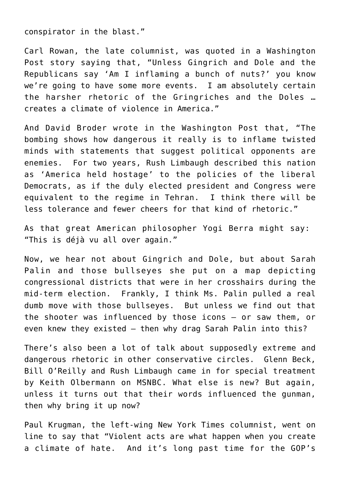conspirator in the blast."

Carl Rowan, the late columnist, was quoted in a Washington Post story saying that, "Unless Gingrich and Dole and the Republicans say 'Am I inflaming a bunch of nuts?' you know we're going to have some more events. I am absolutely certain the harsher rhetoric of the Gringriches and the Doles … creates a climate of violence in America."

And David Broder wrote in the Washington Post that, "The bombing shows how dangerous it really is to inflame twisted minds with statements that suggest political opponents are enemies. For two years, Rush Limbaugh described this nation as 'America held hostage' to the policies of the liberal Democrats, as if the duly elected president and Congress were equivalent to the regime in Tehran. I think there will be less tolerance and fewer cheers for that kind of rhetoric."

As that great American philosopher Yogi Berra might say: "This is déjà vu all over again."

Now, we hear not about Gingrich and Dole, but about Sarah Palin and those bullseyes she put on a map depicting congressional districts that were in her crosshairs during the mid-term election. Frankly, I think Ms. Palin pulled a real dumb move with those bullseyes. But unless we find out that the shooter was influenced by those icons – or saw them, or even knew they existed – then why drag Sarah Palin into this?

There's also been a lot of talk about supposedly extreme and dangerous rhetoric in other conservative circles. Glenn Beck, Bill O'Reilly and Rush Limbaugh came in for special treatment by Keith Olbermann on MSNBC. What else is new? But again, unless it turns out that their words influenced the gunman, then why bring it up now?

Paul Krugman, the left-wing New York Times columnist, went on line to say that "Violent acts are what happen when you create a climate of hate. And it's long past time for the GOP's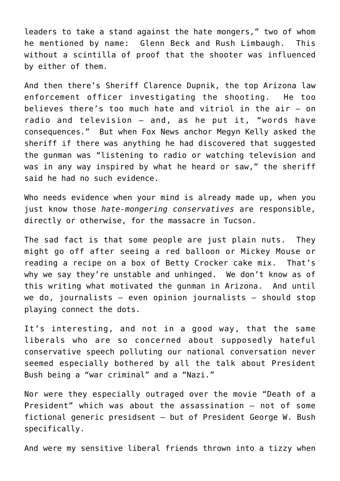leaders to take a stand against the hate mongers," two of whom he mentioned by name: Glenn Beck and Rush Limbaugh. This without a scintilla of proof that the shooter was influenced by either of them.

And then there's Sheriff Clarence Dupnik, the top Arizona law enforcement officer investigating the shooting. He too believes there's too much hate and vitriol in the air – on radio and television – and, as he put it, "words have consequences." But when Fox News anchor Megyn Kelly asked the sheriff if there was anything he had discovered that suggested the gunman was "listening to radio or watching television and was in any way inspired by what he heard or saw," the sheriff said he had no such evidence.

Who needs evidence when your mind is already made up, when you just know those *hate-mongering conservatives* are responsible, directly or otherwise, for the massacre in Tucson.

The sad fact is that some people are just plain nuts. They might go off after seeing a red balloon or Mickey Mouse or reading a recipe on a box of Betty Crocker cake mix. That's why we say they're unstable and unhinged. We don't know as of this writing what motivated the gunman in Arizona. And until we do, journalists — even opinion journalists — should stop playing connect the dots.

It's interesting, and not in a good way, that the same liberals who are so concerned about supposedly hateful conservative speech polluting our national conversation never seemed especially bothered by all the talk about President Bush being a "war criminal" and a "Nazi."

Nor were they especially outraged over the movie "Death of a President" which was about the assassination – not of some fictional generic presidsent – but of President George W. Bush specifically.

And were my sensitive liberal friends thrown into a tizzy when